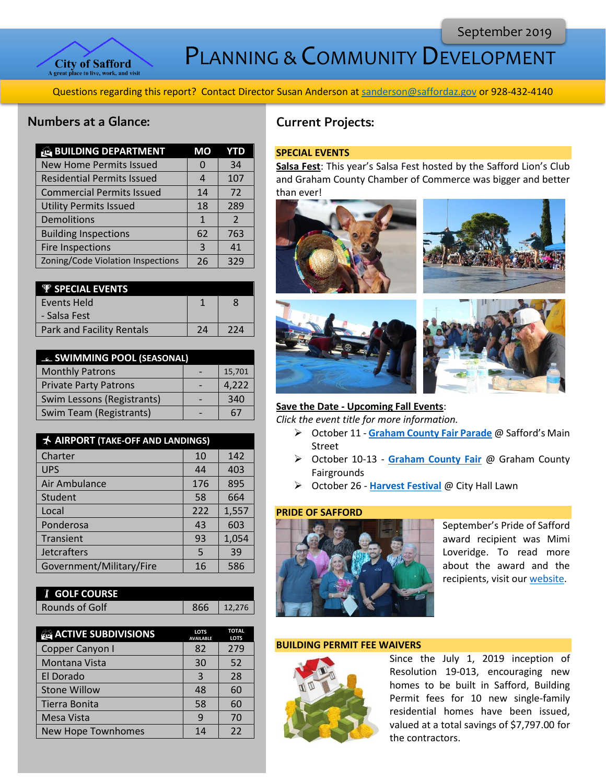

PLANNING & COMMUNITY DEVELOPMENT

Questions regarding this report? Contact Director Susan Anderson a[t sanderson@saffordaz.gov](mailto:sanderson@saffordaz.gov) or 928-432-4140

### Numbers at a Glance:

| <b>BUILDING DEPARTMENT</b>        | MО           | YTD           |
|-----------------------------------|--------------|---------------|
| <b>New Home Permits Issued</b>    | 0            | 34            |
| <b>Residential Permits Issued</b> |              | 107           |
| <b>Commercial Permits Issued</b>  | 14           | 72            |
| <b>Utility Permits Issued</b>     | 18           | 289           |
| Demolitions                       | $\mathbf{1}$ | $\mathcal{P}$ |
| <b>Building Inspections</b>       | 62           | 763           |
| <b>Fire Inspections</b>           | 3            | 41            |
| Zoning/Code Violation Inspections | 26           | 329           |

| <b><i>W SPECIAL EVENTS</i></b>   |    |     |
|----------------------------------|----|-----|
| Events Held                      |    | 8   |
| - Salsa Fest                     |    |     |
| <b>Park and Facility Rentals</b> | 2Δ | 224 |

| <b>EL SWIMMING POOL (SEASONAL)</b> |  |        |
|------------------------------------|--|--------|
| <b>Monthly Patrons</b>             |  | 15,701 |
| <b>Private Party Patrons</b>       |  | 4,222  |
| Swim Lessons (Registrants)         |  | 340    |
| Swim Team (Registrants)            |  | 67     |

| AIRPORT (TAKE-OFF AND LANDINGS) |     |       |
|---------------------------------|-----|-------|
| Charter                         | 10  | 142   |
| <b>UPS</b>                      | 44  | 403   |
| Air Ambulance                   | 176 | 895   |
| Student                         | 58  | 664   |
| Local                           | 222 | 1,557 |
| Ponderosa                       | 43  | 603   |
| Transient                       | 93  | 1,054 |
| <b>Jetcrafters</b>              | 5   | 39    |
| Government/Military/Fire        | 16  | 586   |

| <b>I</b> GOLF COURSE |     |        |
|----------------------|-----|--------|
| Rounds of Golf       | 866 | 12.276 |

| <b>ACTIVE SUBDIVISIONS</b> | <b>LOTS</b><br><b>AVAILABLE</b> | <b>TOTAL</b><br><b>LOTS</b> |
|----------------------------|---------------------------------|-----------------------------|
| Copper Canyon I            | 82                              | 279                         |
| Montana Vista              | 30                              | 52                          |
| El Dorado                  | 3                               | 28                          |
| <b>Stone Willow</b>        | 48                              | 60                          |
| Tierra Bonita              | 58                              | 60                          |
| Mesa Vista                 | q                               | 70                          |
| New Hope Townhomes         | 14                              | 22                          |

# Current Projects:

#### **SPECIAL EVENTS**

**Salsa Fest**: This year's Salsa Fest hosted by the Safford Lion's Club and Graham County Chamber of Commerce was bigger and better than ever!



## **Save the Date - Upcoming Fall Events**:

*Click the event title for more information.*

- ➢ October 11 **[Graham County Fair Parade](http://az-safford.civicplus.com/Calendar.aspx?EID=3738&month=10&year=2019&day=11&calType=0)** @ Safford's Main Street
- ➢ October 10-13 **[Graham County Fair](https://www.graham.az.gov/231/County-Fair)** @ Graham County Fairgrounds
- ➢ October 26 **[Harvest Festival](http://az-safford.civicplus.com/Calendar.aspx?EID=3739&month=10&year=2019&day=26&calType=0)** @ City Hall Lawn

#### **PRIDE OF SAFFORD**



September's Pride of Safford award recipient was Mimi Loveridge. To read more about the award and the recipients, visit our [website.](http://az-safford.civicplus.com/288/Pride-of-Safford-Award)

#### **BUILDING PERMIT FEE WAIVERS**



Since the July 1, 2019 inception of Resolution 19-013, encouraging new homes to be built in Safford, Building Permit fees for 10 new single-family residential homes have been issued, valued at a total savings of \$7,797.00 for the contractors.